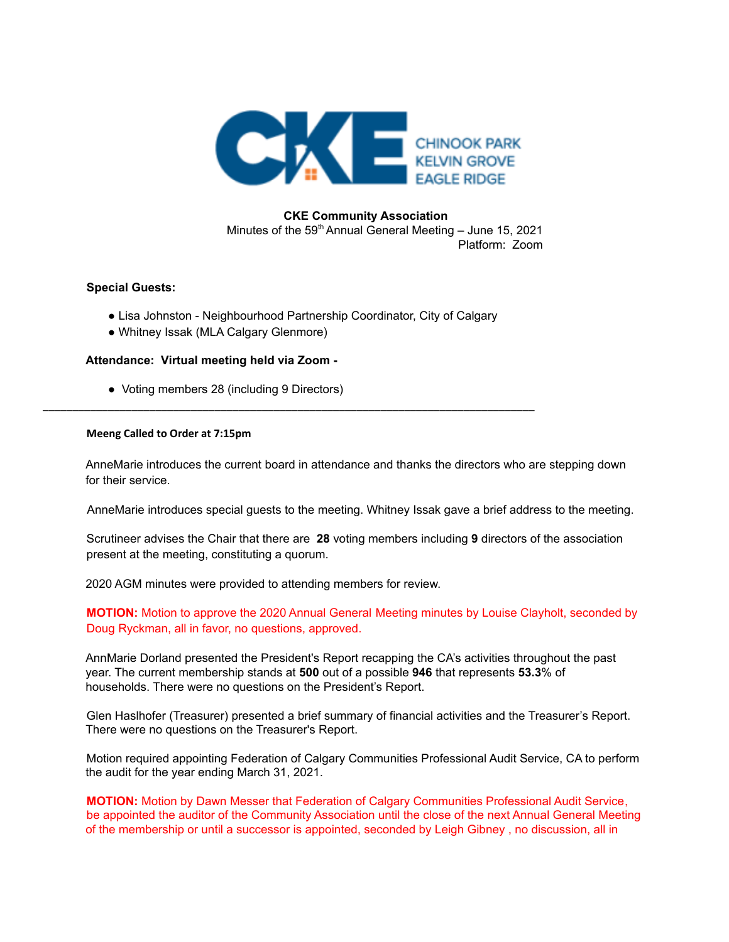

## **CKE Community Association**

Minutes of the  $59<sup>th</sup>$  Annual General Meeting – June 15, 2021 Platform: Zoom

## **Special Guests:**

● Lisa Johnston - Neighbourhood Partnership Coordinator, City of Calgary

\_\_\_\_\_\_\_\_\_\_\_\_\_\_\_\_\_\_\_\_\_\_\_\_\_\_\_\_\_\_\_\_\_\_\_\_\_\_\_\_\_\_\_\_\_\_\_\_\_\_\_\_\_\_\_\_\_\_\_\_\_\_\_\_\_\_\_\_\_\_\_\_\_\_\_\_\_\_\_\_\_\_\_

● Whitney Issak (MLA Calgary Glenmore)

## **Attendance: Virtual meeting held via Zoom -**

● Voting members 28 (including 9 Directors)

## **Meeng Called to Order at 7:15pm**

AnneMarie introduces the current board in attendance and thanks the directors who are stepping down for their service.

AnneMarie introduces special guests to the meeting. Whitney Issak gave a brief address to the meeting.

Scrutineer advises the Chair that there are **28** voting members including **9** directors of the association present at the meeting, constituting a quorum.

2020 AGM minutes were provided to attending members for review.

**MOTION:** Motion to approve the 2020 Annual General Meeting minutes by Louise Clayholt, seconded by Doug Ryckman, all in favor, no questions, approved.

AnnMarie Dorland presented the President's Report recapping the CA's activities throughout the past year. The current membership stands at **500** out of a possible **946** that represents **53.3**% of households. There were no questions on the President's Report.

Glen Haslhofer (Treasurer) presented a brief summary of financial activities and the Treasurer's Report. There were no questions on the Treasurer's Report.

Motion required appointing Federation of Calgary Communities Professional Audit Service, CA to perform the audit for the year ending March 31, 2021.

**MOTION:** Motion by Dawn Messer that Federation of Calgary Communities Professional Audit Service, be appointed the auditor of the Community Association until the close of the next Annual General Meeting of the membership or until a successor is appointed, seconded by Leigh Gibney , no discussion, all in